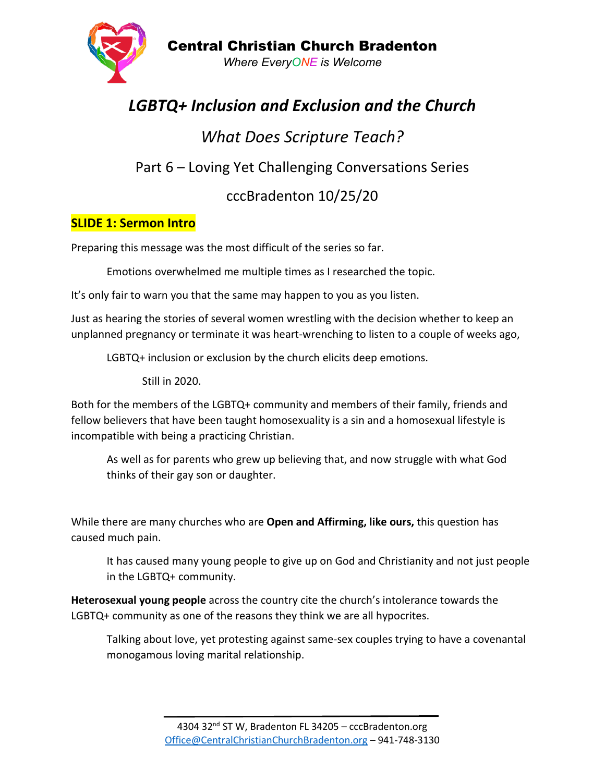

# *LGBTQ+ Inclusion and Exclusion and the Church*

# *What Does Scripture Teach?* Part 6 – Loving Yet Challenging Conversations Series cccBradenton 10/25/20

# **SLIDE 1: Sermon Intro**

Preparing this message was the most difficult of the series so far.

Emotions overwhelmed me multiple times as I researched the topic.

It's only fair to warn you that the same may happen to you as you listen.

Just as hearing the stories of several women wrestling with the decision whether to keep an unplanned pregnancy or terminate it was heart-wrenching to listen to a couple of weeks ago,

LGBTQ+ inclusion or exclusion by the church elicits deep emotions.

Still in 2020.

Both for the members of the LGBTQ+ community and members of their family, friends and fellow believers that have been taught homosexuality is a sin and a homosexual lifestyle is incompatible with being a practicing Christian.

As well as for parents who grew up believing that, and now struggle with what God thinks of their gay son or daughter.

While there are many churches who are **Open and Affirming, like ours,** this question has caused much pain.

It has caused many young people to give up on God and Christianity and not just people in the LGBTQ+ community.

**Heterosexual young people** across the country cite the church's intolerance towards the LGBTQ+ community as one of the reasons they think we are all hypocrites.

Talking about love, yet protesting against same-sex couples trying to have a covenantal monogamous loving marital relationship.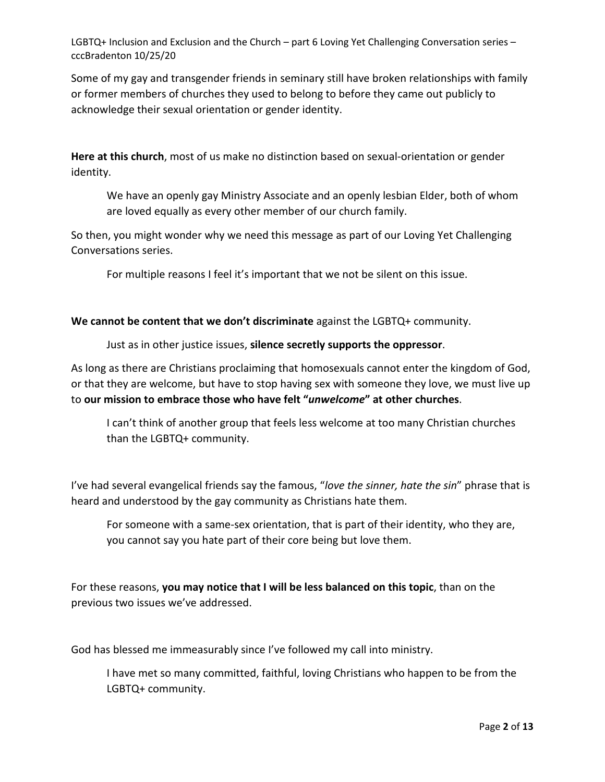Some of my gay and transgender friends in seminary still have broken relationships with family or former members of churches they used to belong to before they came out publicly to acknowledge their sexual orientation or gender identity.

**Here at this church**, most of us make no distinction based on sexual-orientation or gender identity.

We have an openly gay Ministry Associate and an openly lesbian Elder, both of whom are loved equally as every other member of our church family.

So then, you might wonder why we need this message as part of our Loving Yet Challenging Conversations series.

For multiple reasons I feel it's important that we not be silent on this issue.

**We cannot be content that we don't discriminate** against the LGBTQ+ community.

Just as in other justice issues, **silence secretly supports the oppressor**.

As long as there are Christians proclaiming that homosexuals cannot enter the kingdom of God, or that they are welcome, but have to stop having sex with someone they love, we must live up to **our mission to embrace those who have felt "***unwelcome***" at other churches**.

I can't think of another group that feels less welcome at too many Christian churches than the LGBTQ+ community.

I've had several evangelical friends say the famous, "*love the sinner, hate the sin*" phrase that is heard and understood by the gay community as Christians hate them.

For someone with a same-sex orientation, that is part of their identity, who they are, you cannot say you hate part of their core being but love them.

For these reasons, **you may notice that I will be less balanced on this topic**, than on the previous two issues we've addressed.

God has blessed me immeasurably since I've followed my call into ministry.

I have met so many committed, faithful, loving Christians who happen to be from the LGBTQ+ community.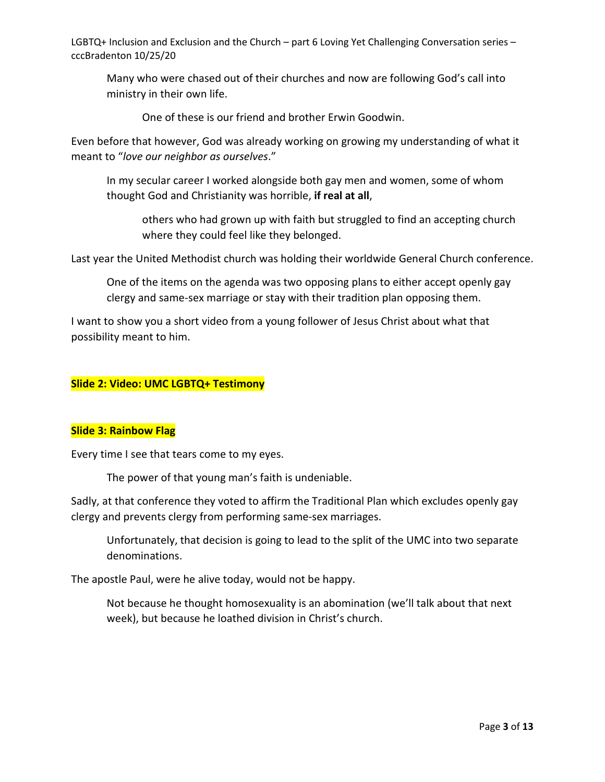Many who were chased out of their churches and now are following God's call into ministry in their own life.

One of these is our friend and brother Erwin Goodwin.

Even before that however, God was already working on growing my understanding of what it meant to "*love our neighbor as ourselves*."

In my secular career I worked alongside both gay men and women, some of whom thought God and Christianity was horrible, **if real at all**,

others who had grown up with faith but struggled to find an accepting church where they could feel like they belonged.

Last year the United Methodist church was holding their worldwide General Church conference.

One of the items on the agenda was two opposing plans to either accept openly gay clergy and same-sex marriage or stay with their tradition plan opposing them.

I want to show you a short video from a young follower of Jesus Christ about what that possibility meant to him.

# **Slide 2: Video: UMC LGBTQ+ Testimony**

#### **Slide 3: Rainbow Flag**

Every time I see that tears come to my eyes.

The power of that young man's faith is undeniable.

Sadly, at that conference they voted to affirm the Traditional Plan which excludes openly gay clergy and prevents clergy from performing same-sex marriages.

Unfortunately, that decision is going to lead to the split of the UMC into two separate denominations.

The apostle Paul, were he alive today, would not be happy.

Not because he thought homosexuality is an abomination (we'll talk about that next week), but because he loathed division in Christ's church.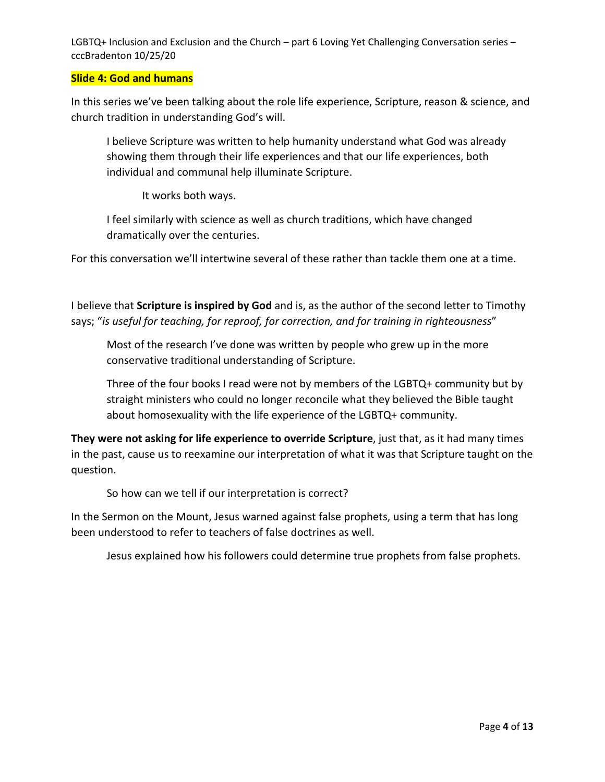#### **Slide 4: God and humans**

In this series we've been talking about the role life experience, Scripture, reason & science, and church tradition in understanding God's will.

I believe Scripture was written to help humanity understand what God was already showing them through their life experiences and that our life experiences, both individual and communal help illuminate Scripture.

It works both ways.

I feel similarly with science as well as church traditions, which have changed dramatically over the centuries.

For this conversation we'll intertwine several of these rather than tackle them one at a time.

I believe that **Scripture is inspired by God** and is, as the author of the second letter to Timothy says; "*is useful for teaching, for reproof, for correction, and for training in righteousness*"

Most of the research I've done was written by people who grew up in the more conservative traditional understanding of Scripture.

Three of the four books I read were not by members of the LGBTQ+ community but by straight ministers who could no longer reconcile what they believed the Bible taught about homosexuality with the life experience of the LGBTQ+ community.

**They were not asking for life experience to override Scripture**, just that, as it had many times in the past, cause us to reexamine our interpretation of what it was that Scripture taught on the question.

So how can we tell if our interpretation is correct?

In the Sermon on the Mount, Jesus warned against false prophets, using a term that has long been understood to refer to teachers of false doctrines as well.

Jesus explained how his followers could determine true prophets from false prophets.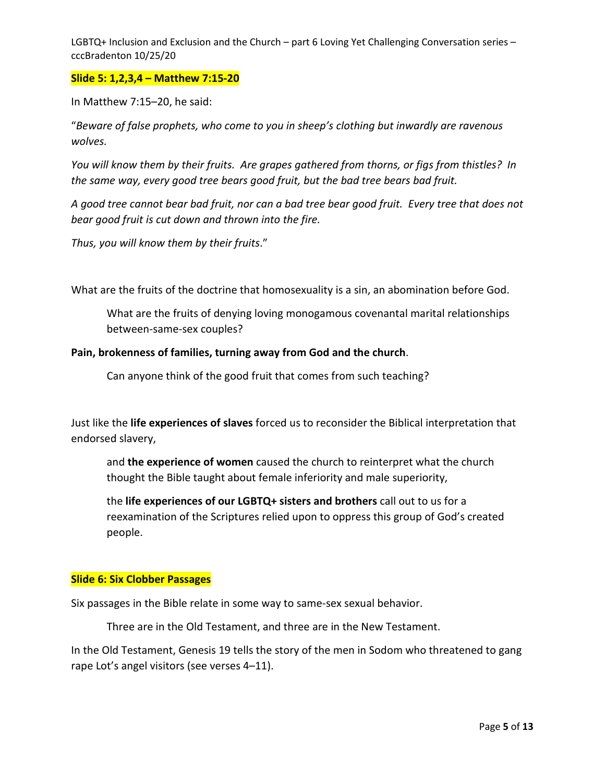#### **Slide 5: 1,2,3,4 – Matthew 7:15-20**

In Matthew 7:15–20, he said:

"*Beware of false prophets, who come to you in sheep's clothing but inwardly are ravenous wolves.* 

*You will know them by their fruits. Are grapes gathered from thorns, or figs from thistles? In the same way, every good tree bears good fruit, but the bad tree bears bad fruit.* 

*A good tree cannot bear bad fruit, nor can a bad tree bear good fruit. Every tree that does not bear good fruit is cut down and thrown into the fire.* 

*Thus, you will know them by their fruits*."

What are the fruits of the doctrine that homosexuality is a sin, an abomination before God.

What are the fruits of denying loving monogamous covenantal marital relationships between-same-sex couples?

#### **Pain, brokenness of families, turning away from God and the church**.

Can anyone think of the good fruit that comes from such teaching?

Just like the **life experiences of slaves** forced us to reconsider the Biblical interpretation that endorsed slavery,

and **the experience of women** caused the church to reinterpret what the church thought the Bible taught about female inferiority and male superiority,

the **life experiences of our LGBTQ+ sisters and brothers** call out to us for a reexamination of the Scriptures relied upon to oppress this group of God's created people.

#### **Slide 6: Six Clobber Passages**

Six passages in the Bible relate in some way to same-sex sexual behavior.

Three are in the Old Testament, and three are in the New Testament.

In the Old Testament, Genesis 19 tells the story of the men in Sodom who threatened to gang rape Lot's angel visitors (see verses 4–11).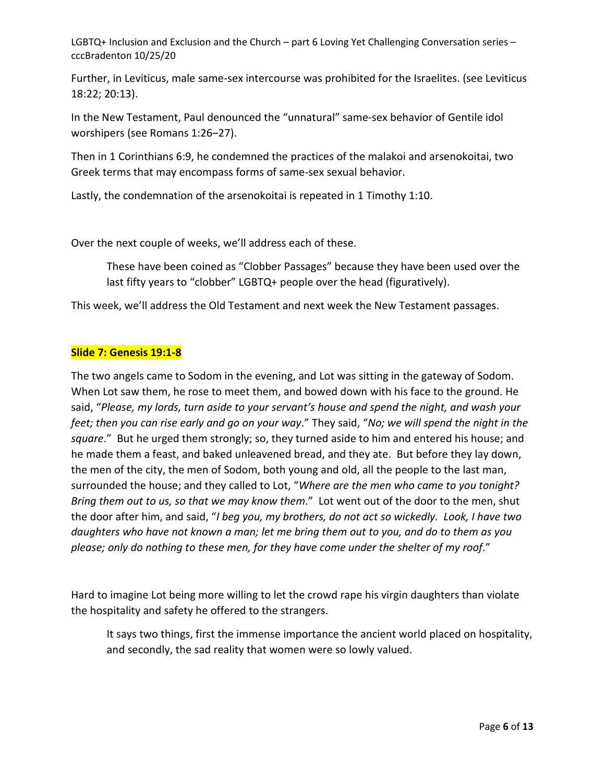Further, in Leviticus, male same-sex intercourse was prohibited for the Israelites. (see Leviticus 18:22; 20:13).

In the New Testament, Paul denounced the "unnatural" same-sex behavior of Gentile idol worshipers (see Romans 1:26–27).

Then in 1 Corinthians 6:9, he condemned the practices of the malakoi and arsenokoitai, two Greek terms that may encompass forms of same-sex sexual behavior.

Lastly, the condemnation of the arsenokoitai is repeated in 1 Timothy 1:10.

Over the next couple of weeks, we'll address each of these.

These have been coined as "Clobber Passages" because they have been used over the last fifty years to "clobber" LGBTQ+ people over the head (figuratively).

This week, we'll address the Old Testament and next week the New Testament passages.

# **Slide 7: Genesis 19:1-8**

The two angels came to Sodom in the evening, and Lot was sitting in the gateway of Sodom. When Lot saw them, he rose to meet them, and bowed down with his face to the ground. He said, "*Please, my lords, turn aside to your servant's house and spend the night, and wash your feet; then you can rise early and go on your way*." They said, "*No; we will spend the night in the square*." But he urged them strongly; so, they turned aside to him and entered his house; and he made them a feast, and baked unleavened bread, and they ate. But before they lay down, the men of the city, the men of Sodom, both young and old, all the people to the last man, surrounded the house; and they called to Lot, "*Where are the men who came to you tonight? Bring them out to us, so that we may know them*." Lot went out of the door to the men, shut the door after him, and said, "*I beg you, my brothers, do not act so wickedly. Look, I have two daughters who have not known a man; let me bring them out to you, and do to them as you please; only do nothing to these men, for they have come under the shelter of my roof*."

Hard to imagine Lot being more willing to let the crowd rape his virgin daughters than violate the hospitality and safety he offered to the strangers.

It says two things, first the immense importance the ancient world placed on hospitality, and secondly, the sad reality that women were so lowly valued.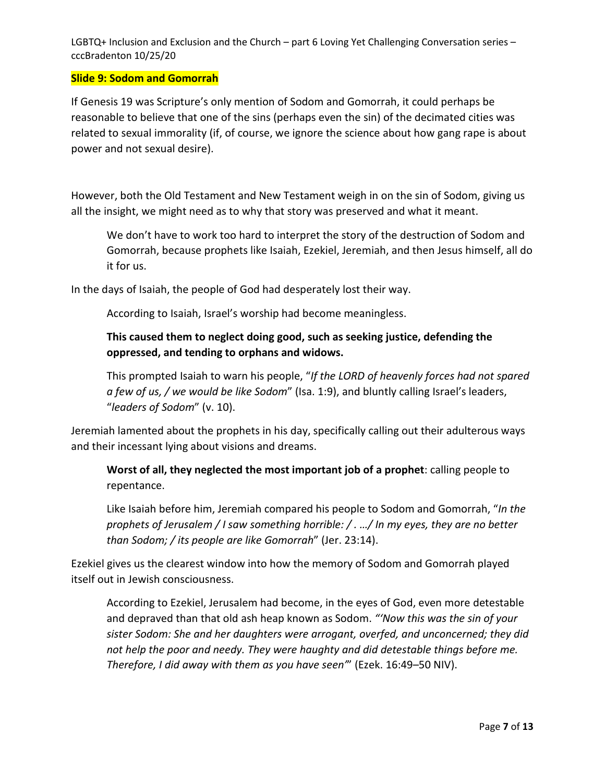#### **Slide 9: Sodom and Gomorrah**

If Genesis 19 was Scripture's only mention of Sodom and Gomorrah, it could perhaps be reasonable to believe that one of the sins (perhaps even the sin) of the decimated cities was related to sexual immorality (if, of course, we ignore the science about how gang rape is about power and not sexual desire).

However, both the Old Testament and New Testament weigh in on the sin of Sodom, giving us all the insight, we might need as to why that story was preserved and what it meant.

We don't have to work too hard to interpret the story of the destruction of Sodom and Gomorrah, because prophets like Isaiah, Ezekiel, Jeremiah, and then Jesus himself, all do it for us.

In the days of Isaiah, the people of God had desperately lost their way.

According to Isaiah, Israel's worship had become meaningless.

# **This caused them to neglect doing good, such as seeking justice, defending the oppressed, and tending to orphans and widows.**

This prompted Isaiah to warn his people, "*If the LORD of heavenly forces had not spared a few of us, / we would be like Sodom*" (Isa. 1:9), and bluntly calling Israel's leaders, "*leaders of Sodom*" (v. 10).

Jeremiah lamented about the prophets in his day, specifically calling out their adulterous ways and their incessant lying about visions and dreams.

**Worst of all, they neglected the most important job of a prophet**: calling people to repentance.

Like Isaiah before him, Jeremiah compared his people to Sodom and Gomorrah, "*In the prophets of Jerusalem / I saw something horrible: / . …/ In my eyes, they are no better than Sodom; / its people are like Gomorrah*" (Jer. 23:14).

Ezekiel gives us the clearest window into how the memory of Sodom and Gomorrah played itself out in Jewish consciousness.

According to Ezekiel, Jerusalem had become, in the eyes of God, even more detestable and depraved than that old ash heap known as Sodom. *"'Now this was the sin of your sister Sodom: She and her daughters were arrogant, overfed, and unconcerned; they did not help the poor and needy. They were haughty and did detestable things before me. Therefore, I did away with them as you have seen'*" (Ezek. 16:49–50 NIV).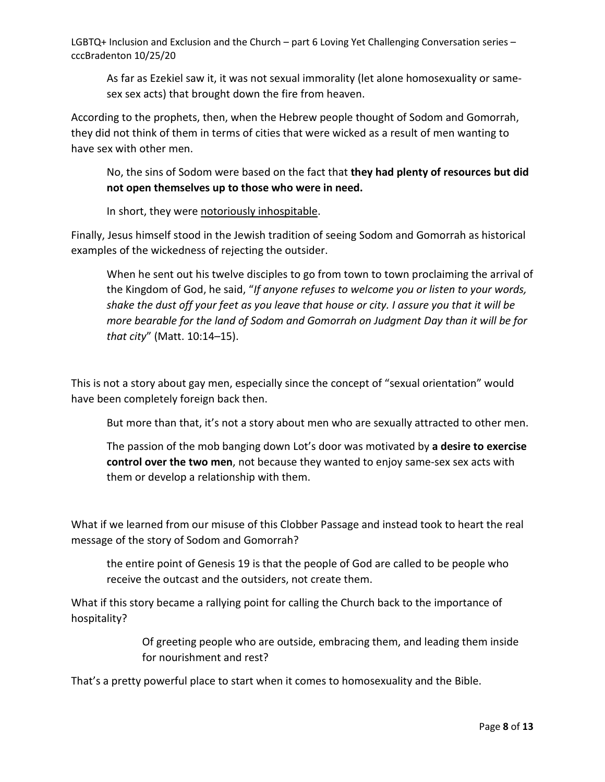As far as Ezekiel saw it, it was not sexual immorality (let alone homosexuality or samesex sex acts) that brought down the fire from heaven.

According to the prophets, then, when the Hebrew people thought of Sodom and Gomorrah, they did not think of them in terms of cities that were wicked as a result of men wanting to have sex with other men.

No, the sins of Sodom were based on the fact that **they had plenty of resources but did not open themselves up to those who were in need.**

In short, they were notoriously inhospitable.

Finally, Jesus himself stood in the Jewish tradition of seeing Sodom and Gomorrah as historical examples of the wickedness of rejecting the outsider.

When he sent out his twelve disciples to go from town to town proclaiming the arrival of the Kingdom of God, he said, "*If anyone refuses to welcome you or listen to your words, shake the dust off your feet as you leave that house or city. I assure you that it will be more bearable for the land of Sodom and Gomorrah on Judgment Day than it will be for that city*" (Matt. 10:14–15).

This is not a story about gay men, especially since the concept of "sexual orientation" would have been completely foreign back then.

But more than that, it's not a story about men who are sexually attracted to other men.

The passion of the mob banging down Lot's door was motivated by **a desire to exercise control over the two men**, not because they wanted to enjoy same-sex sex acts with them or develop a relationship with them.

What if we learned from our misuse of this Clobber Passage and instead took to heart the real message of the story of Sodom and Gomorrah?

the entire point of Genesis 19 is that the people of God are called to be people who receive the outcast and the outsiders, not create them.

What if this story became a rallying point for calling the Church back to the importance of hospitality?

> Of greeting people who are outside, embracing them, and leading them inside for nourishment and rest?

That's a pretty powerful place to start when it comes to homosexuality and the Bible.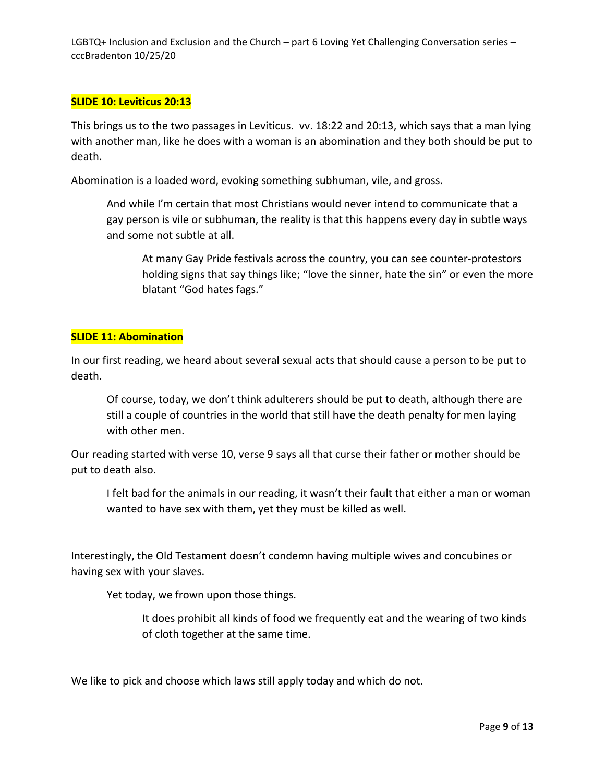#### **SLIDE 10: Leviticus 20:13**

This brings us to the two passages in Leviticus. vv. 18:22 and 20:13, which says that a man lying with another man, like he does with a woman is an abomination and they both should be put to death.

Abomination is a loaded word, evoking something subhuman, vile, and gross.

And while I'm certain that most Christians would never intend to communicate that a gay person is vile or subhuman, the reality is that this happens every day in subtle ways and some not subtle at all.

At many Gay Pride festivals across the country, you can see counter-protestors holding signs that say things like; "love the sinner, hate the sin" or even the more blatant "God hates fags."

#### **SLIDE 11: Abomination**

In our first reading, we heard about several sexual acts that should cause a person to be put to death.

Of course, today, we don't think adulterers should be put to death, although there are still a couple of countries in the world that still have the death penalty for men laying with other men.

Our reading started with verse 10, verse 9 says all that curse their father or mother should be put to death also.

I felt bad for the animals in our reading, it wasn't their fault that either a man or woman wanted to have sex with them, yet they must be killed as well.

Interestingly, the Old Testament doesn't condemn having multiple wives and concubines or having sex with your slaves.

Yet today, we frown upon those things.

It does prohibit all kinds of food we frequently eat and the wearing of two kinds of cloth together at the same time.

We like to pick and choose which laws still apply today and which do not.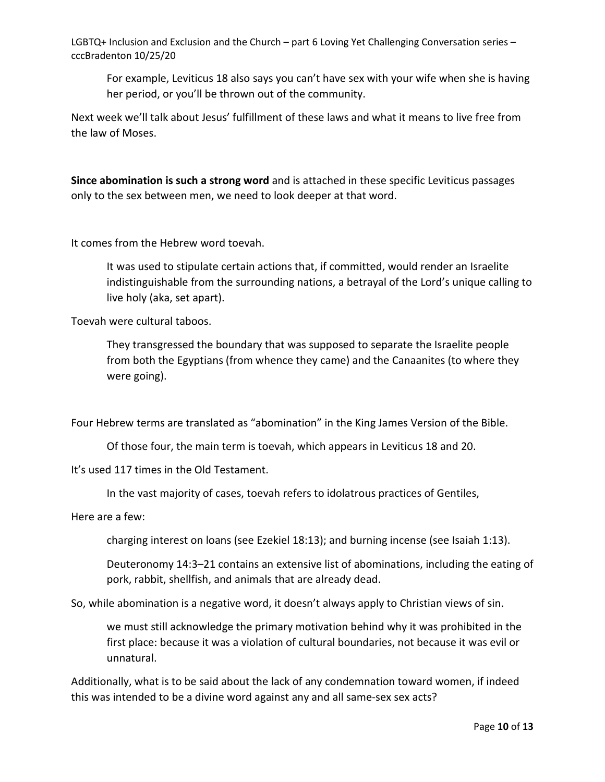For example, Leviticus 18 also says you can't have sex with your wife when she is having her period, or you'll be thrown out of the community.

Next week we'll talk about Jesus' fulfillment of these laws and what it means to live free from the law of Moses.

**Since abomination is such a strong word** and is attached in these specific Leviticus passages only to the sex between men, we need to look deeper at that word.

It comes from the Hebrew word toevah.

It was used to stipulate certain actions that, if committed, would render an Israelite indistinguishable from the surrounding nations, a betrayal of the Lord's unique calling to live holy (aka, set apart).

Toevah were cultural taboos.

They transgressed the boundary that was supposed to separate the Israelite people from both the Egyptians (from whence they came) and the Canaanites (to where they were going).

Four Hebrew terms are translated as "abomination" in the King James Version of the Bible.

Of those four, the main term is toevah, which appears in Leviticus 18 and 20.

It's used 117 times in the Old Testament.

In the vast majority of cases, toevah refers to idolatrous practices of Gentiles,

Here are a few:

charging interest on loans (see Ezekiel 18:13); and burning incense (see Isaiah 1:13).

Deuteronomy 14:3–21 contains an extensive list of abominations, including the eating of pork, rabbit, shellfish, and animals that are already dead.

So, while abomination is a negative word, it doesn't always apply to Christian views of sin.

we must still acknowledge the primary motivation behind why it was prohibited in the first place: because it was a violation of cultural boundaries, not because it was evil or unnatural.

Additionally, what is to be said about the lack of any condemnation toward women, if indeed this was intended to be a divine word against any and all same-sex sex acts?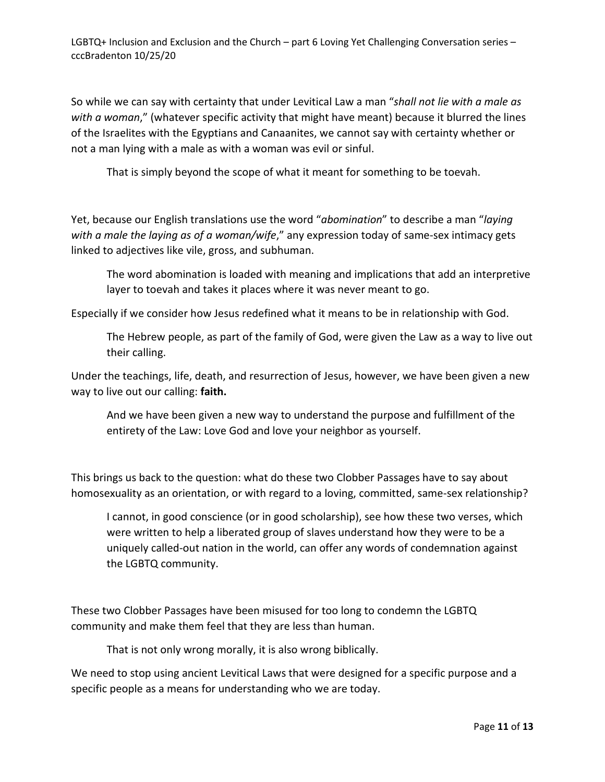So while we can say with certainty that under Levitical Law a man "*shall not lie with a male as with a woman*," (whatever specific activity that might have meant) because it blurred the lines of the Israelites with the Egyptians and Canaanites, we cannot say with certainty whether or not a man lying with a male as with a woman was evil or sinful.

That is simply beyond the scope of what it meant for something to be toevah.

Yet, because our English translations use the word "*abomination*" to describe a man "*laying with a male the laying as of a woman/wife*," any expression today of same-sex intimacy gets linked to adjectives like vile, gross, and subhuman.

The word abomination is loaded with meaning and implications that add an interpretive layer to toevah and takes it places where it was never meant to go.

Especially if we consider how Jesus redefined what it means to be in relationship with God.

The Hebrew people, as part of the family of God, were given the Law as a way to live out their calling.

Under the teachings, life, death, and resurrection of Jesus, however, we have been given a new way to live out our calling: **faith.**

And we have been given a new way to understand the purpose and fulfillment of the entirety of the Law: Love God and love your neighbor as yourself.

This brings us back to the question: what do these two Clobber Passages have to say about homosexuality as an orientation, or with regard to a loving, committed, same-sex relationship?

I cannot, in good conscience (or in good scholarship), see how these two verses, which were written to help a liberated group of slaves understand how they were to be a uniquely called-out nation in the world, can offer any words of condemnation against the LGBTQ community.

These two Clobber Passages have been misused for too long to condemn the LGBTQ community and make them feel that they are less than human.

That is not only wrong morally, it is also wrong biblically.

We need to stop using ancient Levitical Laws that were designed for a specific purpose and a specific people as a means for understanding who we are today.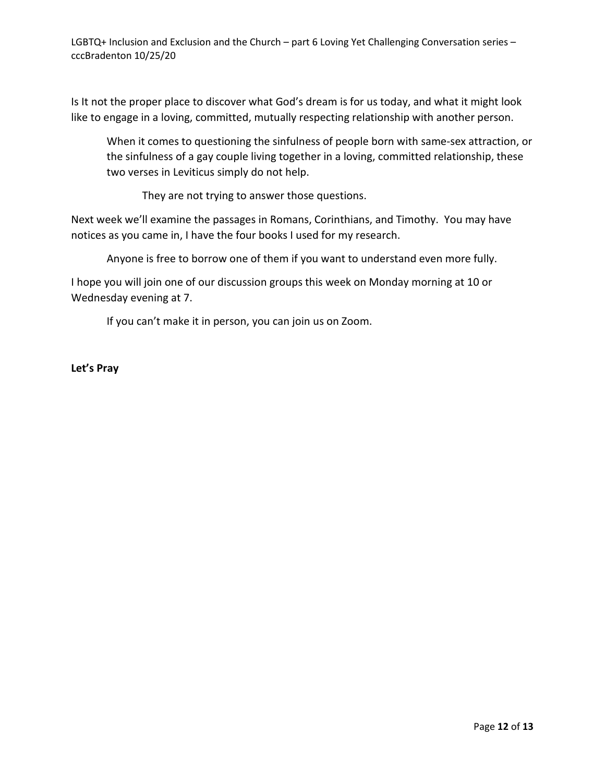Is It not the proper place to discover what God's dream is for us today, and what it might look like to engage in a loving, committed, mutually respecting relationship with another person.

When it comes to questioning the sinfulness of people born with same-sex attraction, or the sinfulness of a gay couple living together in a loving, committed relationship, these two verses in Leviticus simply do not help.

They are not trying to answer those questions.

Next week we'll examine the passages in Romans, Corinthians, and Timothy. You may have notices as you came in, I have the four books I used for my research.

Anyone is free to borrow one of them if you want to understand even more fully.

I hope you will join one of our discussion groups this week on Monday morning at 10 or Wednesday evening at 7.

If you can't make it in person, you can join us on Zoom.

**Let's Pray**